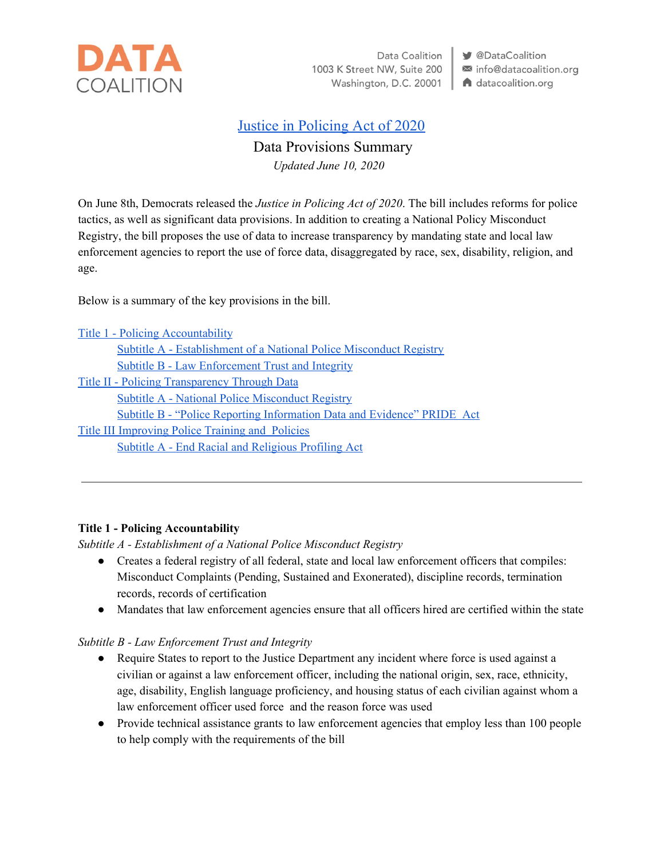

Data Coalition 1003 K Street NW, Suite 200 Washington, D.C. 20001 **V** @DataCoalition info@datacoalition.org A datacoalition.org

# Justice in [Policing](https://judiciary.house.gov/uploadedfiles/justice_in_policing_act_of_2020.pdf?utm_campaign=2926-519) Act of 2020

# Data Provisions Summary

*Updated June 10, 2020*

On June 8th, Democrats released the *Justice in Policing Act of 2020*. The bill includes reforms for police tactics, as well as significant data provisions. In addition to creating a National Policy Misconduct Registry, the bill proposes the use of data to increase transparency by mandating state and local law enforcement agencies to report the use of force data, disaggregated by race, sex, disability, religion, and age.

Below is a summary of the key provisions in the bill.

| <b>Title 1 - Policing Accountability</b>                                |
|-------------------------------------------------------------------------|
| Subtitle A - Establishment of a National Police Misconduct Registry     |
| <b>Subtitle B - Law Enforcement Trust and Integrity</b>                 |
| <b>Title II - Policing Transparency Through Data</b>                    |
| <b>Subtitle A - National Police Misconduct Registry</b>                 |
| Subtitle B - "Police Reporting Information Data and Evidence" PRIDE Act |
| <b>Title III Improving Police Training and Policies</b>                 |
| <b>Subtitle A - End Racial and Religious Profiling Act</b>              |
|                                                                         |

## <span id="page-0-0"></span>**Title 1 - Policing Accountability**

<span id="page-0-1"></span>*Subtitle A - Establishment of a National Police Misconduct Registry*

- Creates a federal registry of all federal, state and local law enforcement officers that compiles: Misconduct Complaints (Pending, Sustained and Exonerated), discipline records, termination records, records of certification
- Mandates that law enforcement agencies ensure that all officers hired are certified within the state

#### <span id="page-0-2"></span>*Subtitle B - Law Enforcement Trust and Integrity*

- Require States to report to the Justice Department any incident where force is used against a civilian or against a law enforcement officer, including the national origin, sex, race, ethnicity, age, disability, English language proficiency, and housing status of each civilian against whom a law enforcement officer used force and the reason force was used
- Provide technical assistance grants to law enforcement agencies that employ less than 100 people to help comply with the requirements of the bill